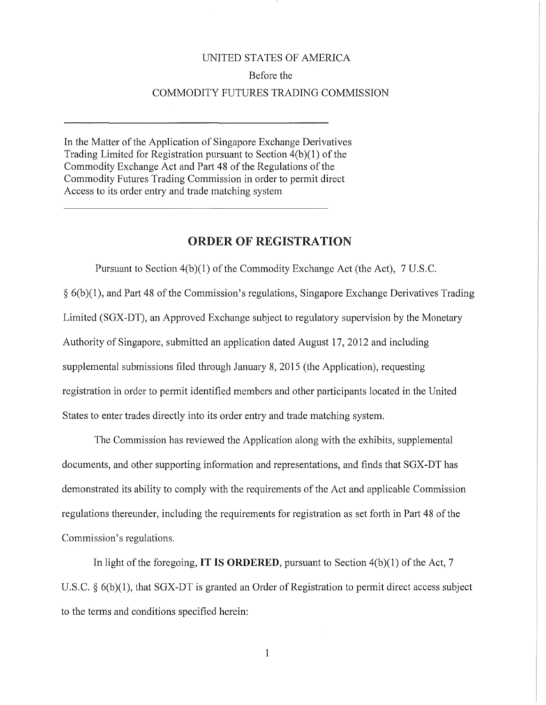## UNITED STATES OF AMERICA Before the COMMODITY FUTURES TRADING COMMISSION

In the Matter of the Application of Singapore Exchange Derivatives Trading Limited for Registration pursuant to Section 4(b)(1) of the Commodity Exchange Act and Part 48 of the Regulations of the Commodity Futures Trading Commission in order to permit direct Access to its order entry and trade matching system

## ORDER OF REGISTRATION

Pursuant to Section 4(b)(l) of the Commodity Exchange Act (the Act), 7 U.S.C.  $\S 6(b)(1)$ , and Part 48 of the Commission's regulations, Singapore Exchange Derivatives Trading Limited (SGX-DT), an Approved Exchange subject to regulatory supervision by the Monetary Authority of Singapore, submitted an application dated August 17, 2012 and including supplemental submissions filed through January 8, 2015 (the Application), requesting registration in order to permit identified members and other participants located in the United States to enter trades directly into its order entry and trade matching system.

The Commission has reviewed the Application along with the exhibits, supplemental documents, and other supporting information and representations, and finds that SGX-DT has demonstrated its ability to comply with the requirements of the Act and applicable Commission regulations thereunder, including the requirements for registration as set forth in Part 48 of the Commission's regulations.

In light of the foregoing, **IT IS ORDERED,** pursuant to Section 4(b)(1) of the Act, 7 U.S.C. § 6(b)(1), that SGX-DT is granted an Order of Registration to permit direct access subject to the terms and conditions specified herein:

1